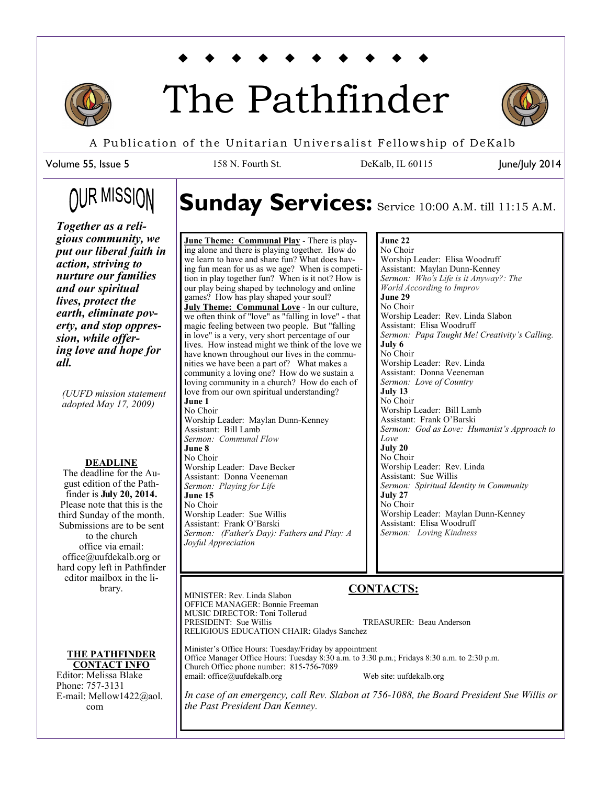

# The Pathfinder



June/July 2014

A Publication of the Unitarian Universalist Fellowship of DeKalb

158 N. Fourth St. DeKalb, IL 60115

Volume 55, Issue 5

## **OUR MISSION**

## Sunday Services: Service 10:00 A.M. till 11:15 A.M.

*Together as a religious community, we put our liberal faith in action, striving to nurture our families and our spiritual lives, protect the earth, eliminate poverty, and stop oppression, while offering love and hope for all.* 

*(UUFD mission statement adopted May 17, 2009)*

#### **DEADLINE**

The deadline for the August edition of the Pathfinder is **July 20, 2014.**  Please note that this is the third Sunday of the month. Submissions are to be sent to the church office via email: office@uufdekalb.org or hard copy left in Pathfinder editor mailbox in the library.

**THE PATHFINDER CONTACT INFO**

Editor: Melissa Blake Phone: 757-3131 E-mail: Mellow1422@aol. com

**June Theme: Communal Play** - There is playing alone and there is playing together. How do we learn to have and share fun? What does having fun mean for us as we age? When is competition in play together fun? When is it not? How is our play being shaped by technology and online games? How has play shaped your soul? **July Theme: Communal Love** - In our culture, we often think of "love" as "falling in love" - that magic feeling between two people. But "falling in love" is a very, very short percentage of our lives. How instead might we think of the love we have known throughout our lives in the communities we have been a part of? What makes a community a loving one? How do we sustain a loving community in a church? How do each of love from our own spiritual understanding? **June 1** No Choir Worship Leader: Maylan Dunn-Kenney Assistant: Bill Lamb *Sermon: Communal Flow* **June 8** No Choir Worship Leader: Dave Becker Assistant: Donna Veeneman *Sermon: Playing for Life* **June 15** No Choir Worship Leader: Sue Willis Assistant: Frank O'Barski *Sermon: (Father's Day): Fathers and Play: A Joyful Appreciation*

#### **June 22**

No Choir Worship Leader: Elisa Woodruff Assistant: Maylan Dunn-Kenney *Sermon: Who's Life is it Anyway?: The World According to Improv* **June 29** No Choir Worship Leader: Rev. Linda Slabon Assistant: Elisa Woodruff *Sermon: Papa Taught Me! Creativity's Calling.* **July 6** No Choir Worship Leader: Rev. Linda Assistant: Donna Veeneman *Sermon: Love of Country* **July 13** No Choir Worship Leader: Bill Lamb Assistant: Frank O'Barski *Sermon: God as Love: Humanist's Approach to Love* **July 20** No Choir Worship Leader: Rev. Linda Assistant: Sue Willis *Sermon: Spiritual Identity in Community* **July 27** No Choir Worship Leader: Maylan Dunn-Kenney Assistant: Elisa Woodruff *Sermon: Loving Kindness*

### **CONTACTS:**

MINISTER: Rev. Linda Slabon OFFICE MANAGER: Bonnie Freeman MUSIC DIRECTOR: Toni Tollerud<br>PRESIDENT: Sue Willis TREASURER: Beau Anderson RELIGIOUS EDUCATION CHAIR: Gladys Sanchez

Minister's Office Hours: Tuesday/Friday by appointment Office Manager Office Hours: Tuesday 8:30 a.m. to 3:30 p.m.; Fridays 8:30 a.m. to 2:30 p.m. Church Office phone number: 815-756-7089 email: office@uufdekalb.org Web site: uufdekalb.org

*In case of an emergency, call Rev. Slabon at 756-1088, the Board President Sue Willis or the Past President Dan Kenney.*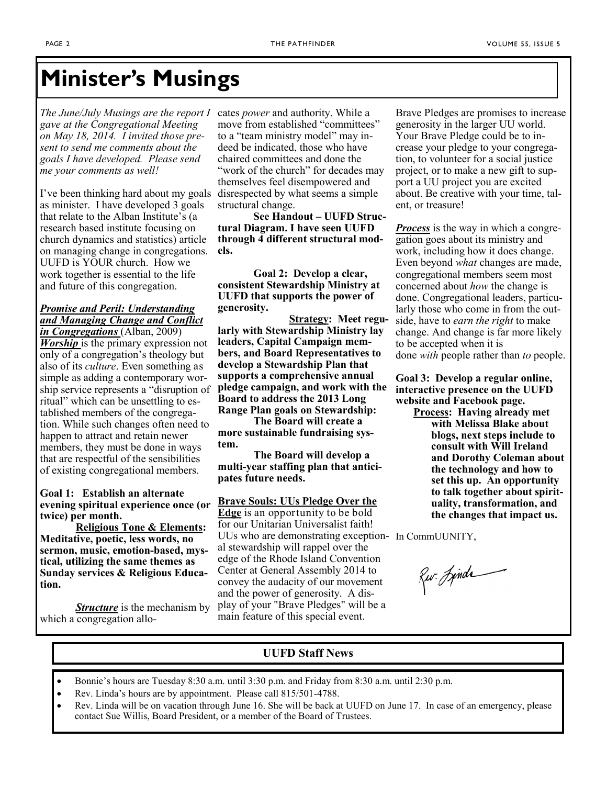## **Minister's Musings**

*The June/July Musings are the report I gave at the Congregational Meeting on May 18, 2014. I invited those present to send me comments about the goals I have developed. Please send me your comments as well!* 

I've been thinking hard about my goals as minister. I have developed 3 goals that relate to the Alban Institute's (a research based institute focusing on church dynamics and statistics) article on managing change in congregations. UUFD is YOUR church. How we work together is essential to the life and future of this congregation.

#### *[Promise and Peril: Understanding](http://www.amazon.com/Promise-Peril-Understanding-Managing-Congregations/dp/1566993822/ref=sr_1_1)  [and Managing Change and Conflict](http://www.amazon.com/Promise-Peril-Understanding-Managing-Congregations/dp/1566993822/ref=sr_1_1)  [in Congregations](http://www.amazon.com/Promise-Peril-Understanding-Managing-Congregations/dp/1566993822/ref=sr_1_1)* (Alban, 2009)

*Worship* is the primary expression not only of a congregation's theology but also of its *culture*. Even something as simple as adding a contemporary worship service represents a "disruption of ritual" which can be unsettling to established members of the congregation. While such changes often need to happen to attract and retain newer members, they must be done in ways that are respectful of the sensibilities of existing congregational members.

#### **Goal 1: Establish an alternate evening spiritual experience once (or twice) per month.**

**Religious Tone & Elements: Meditative, poetic, less words, no sermon, music, emotion-based, mystical, utilizing the same themes as Sunday services & Religious Education.** 

*Structure* is the mechanism by which a congregation allocates *power* and authority. While a move from established "committees" to a "team ministry model" may indeed be indicated, those who have chaired committees and done the "work of the church" for decades may themselves feel disempowered and disrespected by what seems a simple structural change.

**See Handout – UUFD Structural Diagram. I have seen UUFD through 4 different structural models.** 

**Goal 2: Develop a clear, consistent Stewardship Ministry at UUFD that supports the power of generosity.** 

**Strategy: Meet regularly with Stewardship Ministry lay leaders, Capital Campaign members, and Board Representatives to develop a Stewardship Plan that supports a comprehensive annual pledge campaign, and work with the Board to address the 2013 Long Range Plan goals on Stewardship:** 

**The Board will create a more sustainable fundraising system.**

**The Board will develop a multi-year staffing plan that anticipates future needs.**

#### **[Brave Souls: UUs Pledge Over the](https://giving.uua.org/page.redir?target=http%3a%2f%2fwww.uua.org%2fgiving%2fevents%2f295191.shtml&srcid=4016&srctid=1&erid=1578261&trid=adefb710-ac09-40b8-9a21-856029e3e539)**

**[Edge](https://giving.uua.org/page.redir?target=http%3a%2f%2fwww.uua.org%2fgiving%2fevents%2f295191.shtml&srcid=4016&srctid=1&erid=1578261&trid=adefb710-ac09-40b8-9a21-856029e3e539)** is an opportunity to be bold for our Unitarian Universalist faith! UUs who are demonstrating exception-In CommUUNITY, al stewardship will rappel over the edge of the Rhode Island Convention Center at General Assembly 2014 to convey the audacity of our movement and the power of generosity. A display of your "Brave Pledges" will be a main feature of this special event.

Brave Pledges are promises to increase generosity in the larger UU world. Your Brave Pledge could be to increase your pledge to your congregation, to volunteer for a social justice project, or to make a new gift to support a UU project you are excited about. Be creative with your time, talent, or treasure!

*Process* is the way in which a congregation goes about its ministry and work, including how it does change. Even beyond *what* changes are made, congregational members seem most concerned about *how* the change is done. Congregational leaders, particularly those who come in from the outside, have to *earn the right* to make change. And change is far more likely to be accepted when it is done *with* people rather than *to* people.

**Goal 3: Develop a regular online, interactive presence on the UUFD website and Facebook page.** 

**Process: Having already met with Melissa Blake about blogs, next steps include to consult with Will Ireland and Dorothy Coleman about the technology and how to set this up. An opportunity to talk together about spirituality, transformation, and the changes that impact us.** 

Rur. Jinda

#### **UUFD Staff News**

- Bonnie's hours are Tuesday 8:30 a.m. until 3:30 p.m. and Friday from 8:30 a.m. until 2:30 p.m.
- Rev. Linda's hours are by appointment. Please call 815/501-4788.
- Rev. Linda will be on vacation through June 16. She will be back at UUFD on June 17. In case of an emergency, please contact Sue Willis, Board President, or a member of the Board of Trustees.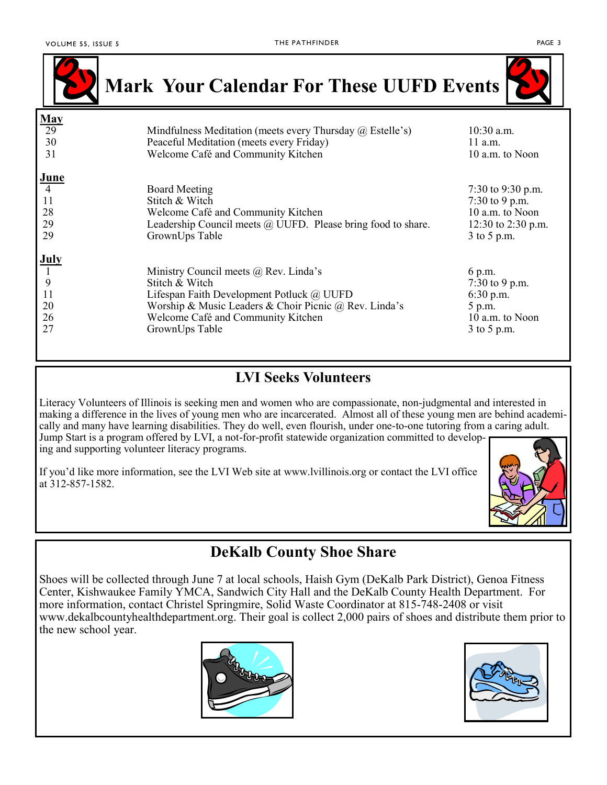

| <b>July</b>                                                 |                 |
|-------------------------------------------------------------|-----------------|
| Ministry Council meets $\omega$ Rev. Linda's                | 6 p.m.          |
| <b>Q</b><br>Stitch & Witch                                  | 7:30 to 9 p.m.  |
| Lifespan Faith Development Potluck @ UUFD                   | $6:30$ p.m.     |
| Worship & Music Leaders & Choir Picnic @ Rev. Linda's<br>20 | $5$ p.m.        |
| 26<br>Welcome Café and Community Kitchen                    | 10 a.m. to Noon |
| 27<br>GrownUps Table                                        | $3$ to 5 p.m.   |
|                                                             |                 |

### **LVI Seeks Volunteers**

Literacy Volunteers of Illinois is seeking men and women who are compassionate, non-judgmental and interested in making a difference in the lives of young men who are incarcerated. Almost all of these young men are behind academically and many have learning disabilities. They do well, even flourish, under one-to-one tutoring from a caring adult. Jump Start is a program offered by LVI, a not-for-profit statewide organization committed to developing and supporting volunteer literacy programs.

If you'd like more information, see the LVI Web site at www.lvillinois.org or contact the LVI office at 312-857-1582.



### **DeKalb County Shoe Share**

Shoes will be collected through June 7 at local schools, Haish Gym (DeKalb Park District), Genoa Fitness Center, Kishwaukee Family YMCA, Sandwich City Hall and the DeKalb County Health Department. For more information, contact Christel Springmire, Solid Waste Coordinator at 815-748-2408 or visit [www.dekalbcountyhealthdepartment.org.](http://www.dekalbcountyhealthdepartment.org) Their goal is collect 2,000 pairs of shoes and distribute them prior to the new school year.



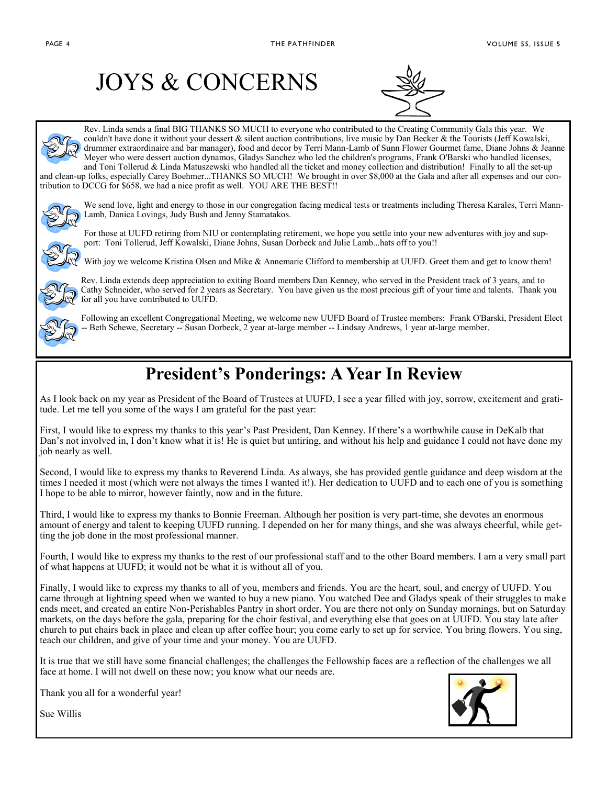## JOYS & CONCERNS



Rev. Linda sends a final BIG THANKS SO MUCH to everyone who contributed to the Creating Community Gala this year. We couldn't have done it without your dessert & silent auction contributions, live music by Dan Becker & the Tourists (Jeff Kowalski, drummer extraordinaire and bar manager), food and decor by Terri Mann-Lamb of Sunn Flower Gourmet fame, Diane Johns & Jeanne Meyer who were dessert auction dynamos, Gladys Sanchez who led the children's programs, Frank O'Barski who handled licenses, and Toni Tollerud & Linda Matuszewski who handled all the ticket and money collection and distribution! Finally to all the set-up and clean-up folks, especially Carey Boehmer...THANKS SO MUCH! We brought in over \$8,000 at the Gala and after all expenses and our contribution to DCCG for \$658, we had a nice profit as well. YOU ARE THE BEST!!



We send love, light and energy to those in our congregation facing medical tests or treatments including Theresa Karales, Terri Mann-Lamb, Danica Lovings, Judy Bush and Jenny Stamatakos.

For those at UUFD retiring from NIU or contemplating retirement, we hope you settle into your new adventures with joy and support: Toni Tollerud, Jeff Kowalski, Diane Johns, Susan Dorbeck and Julie Lamb...hats off to you!!





Rev. Linda extends deep appreciation to exiting Board members Dan Kenney, who served in the President track of 3 years, and to Cathy Schneider, who served for 2 years as Secretary. You have given us the most precious gift of your time and talents. Thank you for all you have contributed to UUFD.



Following an excellent Congregational Meeting, we welcome new UUFD Board of Trustee members: Frank O'Barski, President Elect Beth Schewe, Secretary -- Susan Dorbeck, 2 year at-large member -- Lindsay Andrews, 1 year at-large member.

## **President's Ponderings: A Year In Review**

As I look back on my year as President of the Board of Trustees at UUFD, I see a year filled with joy, sorrow, excitement and gratitude. Let me tell you some of the ways I am grateful for the past year:

First, I would like to express my thanks to this year's Past President, Dan Kenney. If there's a worthwhile cause in DeKalb that Dan's not involved in, I don't know what it is! He is quiet but untiring, and without his help and guidance I could not have done my job nearly as well.

Second, I would like to express my thanks to Reverend Linda. As always, she has provided gentle guidance and deep wisdom at the times I needed it most (which were not always the times I wanted it!). Her dedication to UUFD and to each one of you is something I hope to be able to mirror, however faintly, now and in the future.

Third, I would like to express my thanks to Bonnie Freeman. Although her position is very part-time, she devotes an enormous amount of energy and talent to keeping UUFD running. I depended on her for many things, and she was always cheerful, while getting the job done in the most professional manner.

Fourth, I would like to express my thanks to the rest of our professional staff and to the other Board members. I am a very small part of what happens at UUFD; it would not be what it is without all of you.

Finally, I would like to express my thanks to all of you, members and friends. You are the heart, soul, and energy of UUFD. You came through at lightning speed when we wanted to buy a new piano. You watched Dee and Gladys speak of their struggles to make ends meet, and created an entire Non-Perishables Pantry in short order. You are there not only on Sunday mornings, but on Saturday markets, on the days before the gala, preparing for the choir festival, and everything else that goes on at UUFD. You stay late after church to put chairs back in place and clean up after coffee hour; you come early to set up for service. You bring flowers. You sing, teach our children, and give of your time and your money. You are UUFD.

It is true that we still have some financial challenges; the challenges the Fellowship faces are a reflection of the challenges we all face at home. I will not dwell on these now; you know what our needs are.





Sue Willis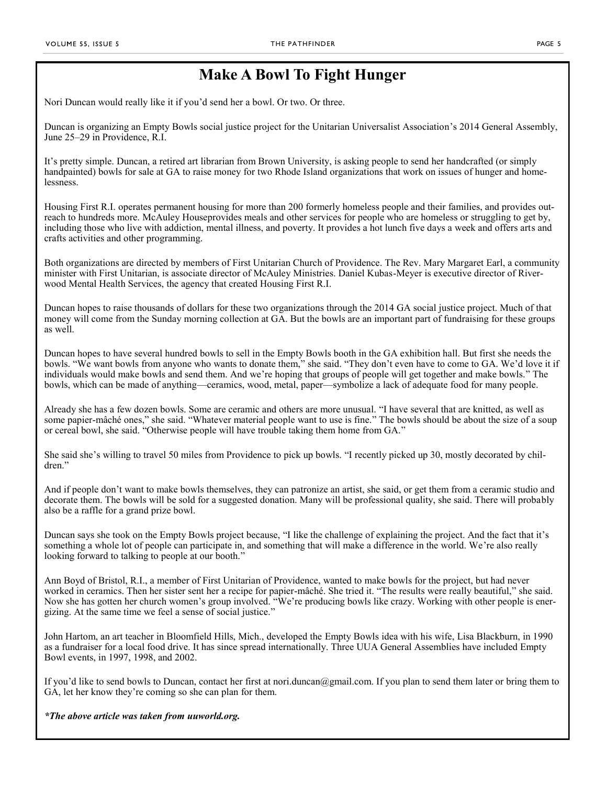### **Make A Bowl To Fight Hunger**

Nori Duncan would really like it if you'd send her a bowl. Or two. Or three.

Duncan is organizing an Empty Bowls social justice project for the Unitarian Universalist Association's [2014 General Assembly,](http://www.uua.org/ga/)  June 25–29 in Providence, R.I.

It's pretty simple. Duncan, a retired art librarian from Brown University, is asking people to send her handcrafted (or simply handpainted) bowls for sale at GA to raise money for two Rhode Island organizations that work on issues of hunger and homelessness.

[Housing First R.I.](http://www.riverwoodmhs.dreamhosters.com/housingFirstRI.php) operates permanent housing for more than 200 formerly homeless people and their families, and provides outreach to hundreds more. [McAuley Housep](http://www.mcauleyri.org/mcauley_house.php)rovides meals and other services for people who are homeless or struggling to get by, including those who live with addiction, mental illness, and poverty. It provides a hot lunch five days a week and offers arts and crafts activities and other programming.

Both organizations are directed by members of First Unitarian Church of Providence. The Rev. Mary Margaret Earl, a community minister with First Unitarian, is associate director of McAuley Ministries. Daniel Kubas-Meyer is executive director of Riverwood Mental Health Services, the agency that created Housing First R.I.

Duncan hopes to raise thousands of dollars for these two organizations through the 2014 GA social justice project. Much of that money will come from the Sunday morning collection at GA. But the bowls are an important part of fundraising for these groups as well.

Duncan hopes to have several hundred bowls to sell in the Empty Bowls booth in the GA exhibition hall. But first she needs the bowls. "We want bowls from anyone who wants to donate them," she said. "They don't even have to come to GA. We'd love it if individuals would make bowls and send them. And we're hoping that groups of people will get together and make bowls." The bowls, which can be made of anything—ceramics, wood, metal, paper—symbolize a lack of adequate food for many people.

Already she has a few dozen bowls. Some are ceramic and others are more unusual. "I have several that are knitted, as well as some papier-mâché ones," she said. "Whatever material people want to use is fine." The bowls should be about the size of a soup or cereal bowl, she said. "Otherwise people will have trouble taking them home from GA."

She said she's willing to travel 50 miles from Providence to pick up bowls. "I recently picked up 30, mostly decorated by children."

And if people don't want to make bowls themselves, they can patronize an artist, she said, or get them from a ceramic studio and decorate them. The bowls will be sold for a suggested donation. Many will be professional quality, she said. There will probably also be a raffle for a grand prize bowl.

Duncan says she took on the Empty Bowls project because, "I like the challenge of explaining the project. And the fact that it's something a whole lot of people can participate in, and something that will make a difference in the world. We're also really looking forward to talking to people at our booth."

Ann Boyd of Bristol, R.I., a member of First Unitarian of Providence, wanted to make bowls for the project, but had never worked in ceramics. Then her sister sent her a recipe for papier-mâché. She tried it. "The results were really beautiful," she said. Now she has gotten her church women's group involved. "We're producing bowls like crazy. Working with other people is energizing. At the same time we feel a sense of social justice."

John Hartom, an art teacher in Bloomfield Hills, Mich., developed the [Empty Bowls](http://www.emptybowls.net/) idea with his wife, Lisa Blackburn, in 1990 as a fundraiser for a local food drive. It has since spread internationally. Three UUA General Assemblies have included Empty Bowl events, in 1997, 1998, and 2002.

If you'd like to send bowls to Duncan, contact her first at nori.duncan@gmail.com. If you plan to send them later or bring them to GA, let her know they're coming so she can plan for them.

#### *\*The above article was taken from uuworld.org.*